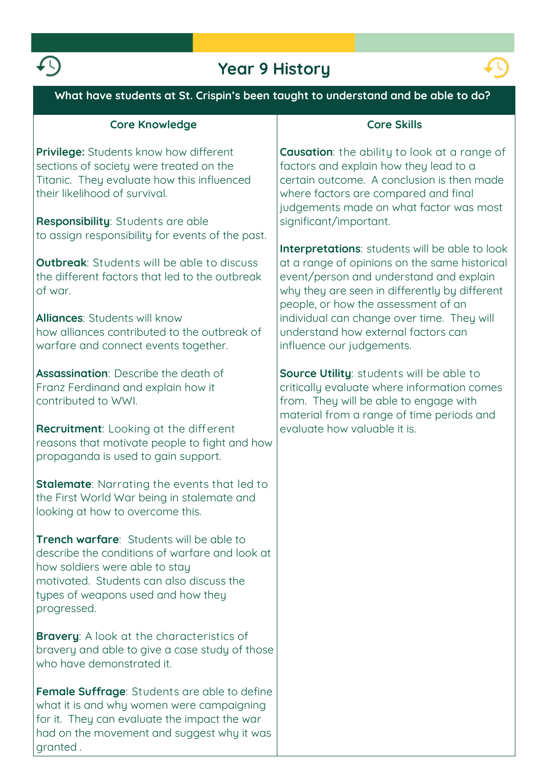

## **Year 9 History**



| <b>rear 9 History</b>                                                                                                                                                                                                         |                                                                                                                                                                                                                                    |
|-------------------------------------------------------------------------------------------------------------------------------------------------------------------------------------------------------------------------------|------------------------------------------------------------------------------------------------------------------------------------------------------------------------------------------------------------------------------------|
| What have students at St. Crispin's been taught to understand and be able to do?                                                                                                                                              |                                                                                                                                                                                                                                    |
| <b>Core Knowledge</b>                                                                                                                                                                                                         | <b>Core Skills</b>                                                                                                                                                                                                                 |
| Privilege: Students know how different<br>sections of society were treated on the<br>Titanic. They evaluate how this influenced<br>their likelihood of survival.                                                              | <b>Causation:</b> the ability to look at a range of<br>factors and explain how they lead to a<br>certain outcome. A conclusion is then made<br>where factors are compared and final<br>judgements made on what factor was most     |
| Responsibility: Students are able<br>to assign responsibility for events of the past.                                                                                                                                         | significant/important.                                                                                                                                                                                                             |
| <b>Outbreak:</b> Students will be able to discuss<br>the different factors that led to the outbreak<br>of war.                                                                                                                | Interpretations: students will be able to look<br>at a range of opinions on the same historical<br>event/person and understand and explain<br>why they are seen in differently by different<br>people, or how the assessment of an |
| <b>Alliances: Students will know</b><br>how alliances contributed to the outbreak of<br>warfare and connect events together.                                                                                                  | individual can change over time. They will<br>understand how external factors can<br>influence our judgements.                                                                                                                     |
| <b>Assassination:</b> Describe the death of<br>Franz Ferdinand and explain how it<br>contributed to WWI.                                                                                                                      | Source Utility: students will be able to<br>critically evaluate where information comes<br>from. They will be able to engage with<br>material from a range of time periods and                                                     |
| <b>Recruitment:</b> Looking at the different<br>reasons that motivate people to fight and how<br>propaganda is used to gain support.                                                                                          | evaluate how valuable it is.                                                                                                                                                                                                       |
| <b>Stalemate:</b> Narrating the events that led to<br>the First World War being in stalemate and<br>looking at how to overcome this.                                                                                          |                                                                                                                                                                                                                                    |
| Trench warfare: Students will be able to<br>describe the conditions of warfare and look at<br>how soldiers were able to stay<br>motivated. Students can also discuss the<br>types of weapons used and how they<br>progressed. |                                                                                                                                                                                                                                    |
| <b>Bravery:</b> A look at the characteristics of<br>bravery and able to give a case study of those<br>who have demonstrated it.                                                                                               |                                                                                                                                                                                                                                    |
| <b>Female Suffrage:</b> Students are able to define<br>what it is and why women were campaigning<br>for it. They can evaluate the impact the war                                                                              |                                                                                                                                                                                                                                    |

**had on the movement and suggest why it was** 

**granted .**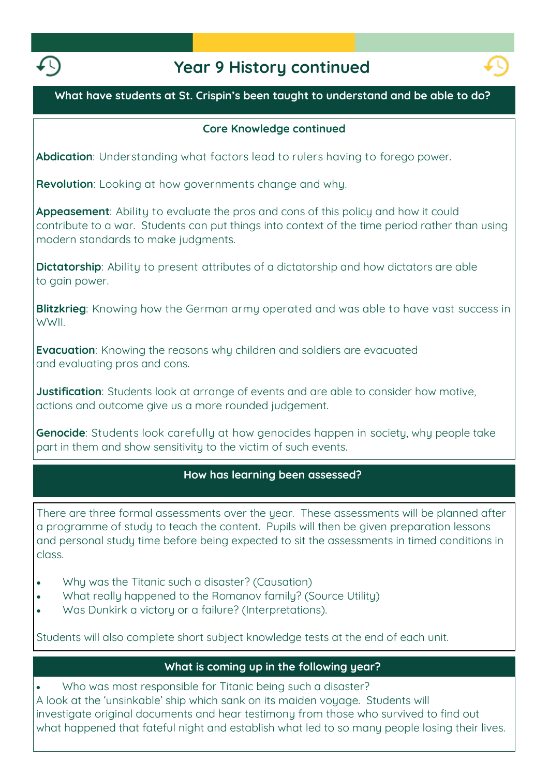

# **Year 9 History continued**



### **What have students at St. Crispin's been taught to understand and be able to do?**

#### **Core Knowledge continued**

**Abdication: Understanding what factors lead to rulers having to forego power.**

**Revolution: Looking at how governments change and why.**

**Appeasement: Ability to evaluate the pros and cons of this policy and how it could contribute to a war. Students can put things into context of the time period rather than using modern standards to make judgments.**

**Dictatorship: Ability to present attributes of a dictatorship and how dictators are able to gain power.**

**Blitzkrieg: Knowing how the German army operated and was able to have vast success in WWII.**

**Evacuation: Knowing the reasons why children and soldiers are evacuated and evaluating pros and cons.**

**Justification: Students look at arrange of events and are able to consider how motive, actions and outcome give us a more rounded judgement.**

**Genocide: Students look carefully at how genocides happen in society, why people take part in them and show sensitivity to the victim of such events.**

### **How has learning been assessed?**

**There are three formal assessments over the year. These assessments will be planned after a programme of study to teach the content. Pupils will then be given preparation lessons and personal study time before being expected to sit the assessments in timed conditions in class.**

- **Why was the Titanic such a disaster? (Causation)**
- **What really happened to the Romanov family? (Source Utility)**
- **Was Dunkirk a victory or a failure? (Interpretations).**

**Students will also complete short subject knowledge tests at the end of each unit.** 

#### **What is coming up in the following year?**

 **Who was most responsible for Titanic being such a disaster? A look at the 'unsinkable' ship which sank on its maiden voyage. Students will investigate original documents and hear testimony from those who survived to find out what happened that fateful night and establish what led to so many people losing their lives.**